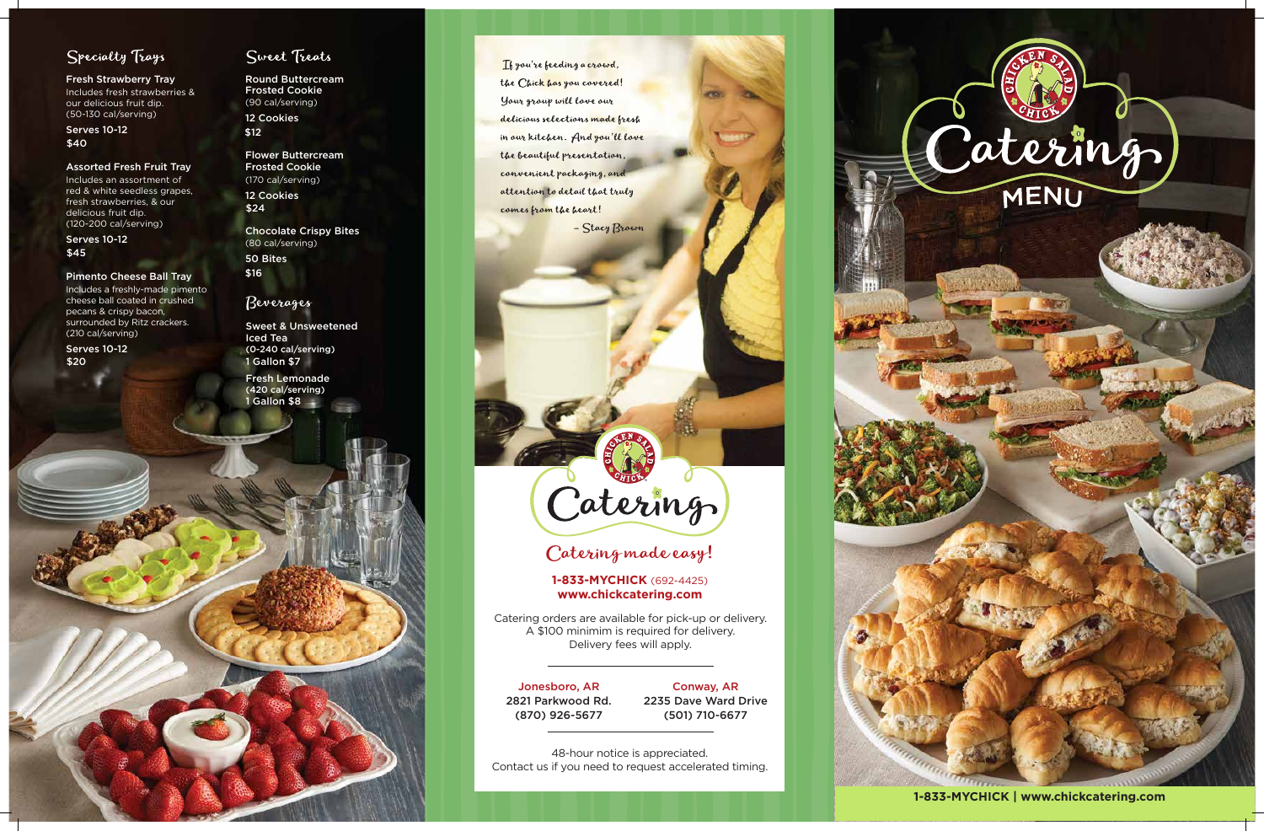

# Specialty Trays

Fresh Strawberry Tray Includes fresh strawberries &

our delicious fruit dip. (50-130 cal/serving)

#### Assorted Fresh Fruit Tray

Includes an assortment of red & white seedless grapes, fresh strawberries, & our delicious fruit dip. (120-200 cal/serving)

#### Pimento Cheese Ball Tray

Includes a freshly-made pimento cheese ball coated in crushed pecans & crispy bacon, surrounded by Ritz crackers. (210 cal/serving)

Serves 10-12 \$40

Serves 10-12 \$45

Flower Buttercream Frosted Cookie (170 cal/serving)

Round Buttercream Frosted Cookie (90 cal/serving) 12 Cookies \$12

Serves 10-12 \$20

### Sweet Treats

12 Cookies \$24

Chocolate Crispy Bites (80 cal/serving) 50 Bites \$16

1 Gallon \$8 Fresh Lemonade (420 cal/serving)

If you're feeding a crowd, the Chick has you covered! Your group will love our delicious selections made fresh in our kitchen. And you'll love the beautiful presentation, convenient packaging, and attention to detail that truly comes from the heart!

- Stacy Brown

# Caterings

#### Beverages

1 Gallon \$7 Sweet & Unsweetened Iced Tea (0-240 cal/serving)

> 48-hour notice is appreciated. Contact us if you need to request accelerated timing.

#### Jonesboro, AR 2821 Parkwood Rd. (870) 926-5677

Conway, AR 2235 Dave Ward Drive (501) 710-6677

Catering orders are available for pick-up or delivery. A \$100 minimim is required for delivery. Delivery fees will apply.

**1-833-MYCHICK | www.chickcatering.com**

# Catering made easy!

#### **1-833-MYCHICK** (692-4425) **www.chickcatering.com**